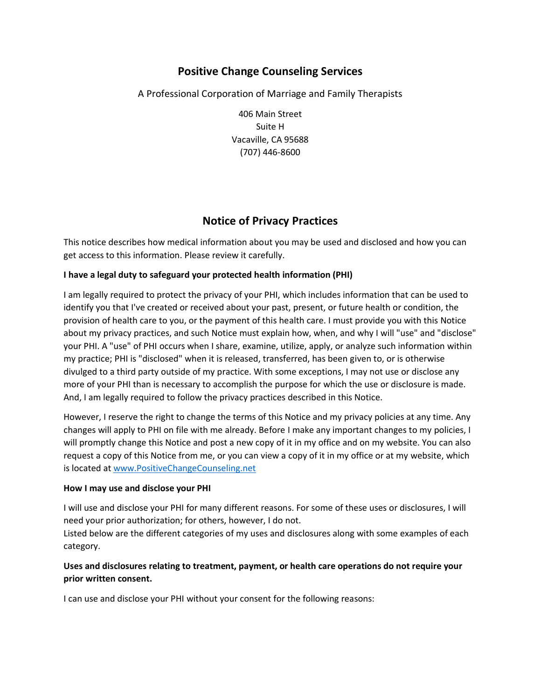# **Positive Change Counseling Services**

## A Professional Corporation of Marriage and Family Therapists

406 Main Street Suite H Vacaville, CA 95688 (707) 446-8600

## **Notice of Privacy Practices**

This notice describes how medical information about you may be used and disclosed and how you can get access to this information. Please review it carefully.

## **I have a legal duty to safeguard your protected health information (PHI)**

I am legally required to protect the privacy of your PHI, which includes information that can be used to identify you that I've created or received about your past, present, or future health or condition, the provision of health care to you, or the payment of this health care. I must provide you with this Notice about my privacy practices, and such Notice must explain how, when, and why I will "use" and "disclose" your PHI. A "use" of PHI occurs when I share, examine, utilize, apply, or analyze such information within my practice; PHI is "disclosed" when it is released, transferred, has been given to, or is otherwise divulged to a third party outside of my practice. With some exceptions, I may not use or disclose any more of your PHI than is necessary to accomplish the purpose for which the use or disclosure is made. And, I am legally required to follow the privacy practices described in this Notice.

However, I reserve the right to change the terms of this Notice and my privacy policies at any time. Any changes will apply to PHI on file with me already. Before I make any important changes to my policies, I will promptly change this Notice and post a new copy of it in my office and on my website. You can also request a copy of this Notice from me, or you can view a copy of it in my office or at my website, which is located at www.PositiveChangeCounseling.net

### **How I may use and disclose your PHI**

I will use and disclose your PHI for many different reasons. For some of these uses or disclosures, I will need your prior authorization; for others, however, I do not.

Listed below are the different categories of my uses and disclosures along with some examples of each category.

## **Uses and disclosures relating to treatment, payment, or health care operations do not require your prior written consent.**

I can use and disclose your PHI without your consent for the following reasons: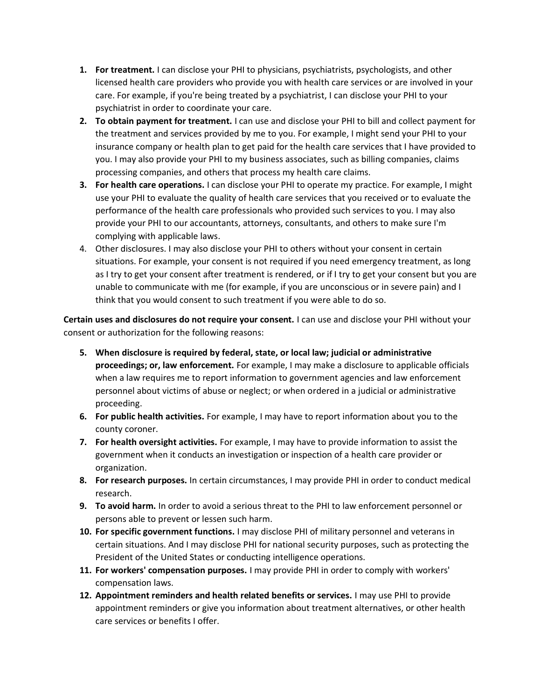- **1. For treatment.** I can disclose your PHI to physicians, psychiatrists, psychologists, and other licensed health care providers who provide you with health care services or are involved in your care. For example, if you're being treated by a psychiatrist, I can disclose your PHI to your psychiatrist in order to coordinate your care.
- **2. To obtain payment for treatment.** I can use and disclose your PHI to bill and collect payment for the treatment and services provided by me to you. For example, I might send your PHI to your insurance company or health plan to get paid for the health care services that I have provided to you. I may also provide your PHI to my business associates, such as billing companies, claims processing companies, and others that process my health care claims.
- **3. For health care operations.** I can disclose your PHI to operate my practice. For example, I might use your PHI to evaluate the quality of health care services that you received or to evaluate the performance of the health care professionals who provided such services to you. I may also provide your PHI to our accountants, attorneys, consultants, and others to make sure I'm complying with applicable laws.
- 4. Other disclosures. I may also disclose your PHI to others without your consent in certain situations. For example, your consent is not required if you need emergency treatment, as long as I try to get your consent after treatment is rendered, or if I try to get your consent but you are unable to communicate with me (for example, if you are unconscious or in severe pain) and I think that you would consent to such treatment if you were able to do so.

**Certain uses and disclosures do not require your consent.** I can use and disclose your PHI without your consent or authorization for the following reasons:

- **5. When disclosure is required by federal, state, or local law; judicial or administrative proceedings; or, law enforcement.** For example, I may make a disclosure to applicable officials when a law requires me to report information to government agencies and law enforcement personnel about victims of abuse or neglect; or when ordered in a judicial or administrative proceeding.
- **6. For public health activities.** For example, I may have to report information about you to the county coroner.
- **7. For health oversight activities.** For example, I may have to provide information to assist the government when it conducts an investigation or inspection of a health care provider or organization.
- **8. For research purposes.** In certain circumstances, I may provide PHI in order to conduct medical research.
- **9. To avoid harm.** In order to avoid a serious threat to the PHI to law enforcement personnel or persons able to prevent or lessen such harm.
- **10. For specific government functions.** I may disclose PHI of military personnel and veterans in certain situations. And I may disclose PHI for national security purposes, such as protecting the President of the United States or conducting intelligence operations.
- **11. For workers' compensation purposes.** I may provide PHI in order to comply with workers' compensation laws.
- **12. Appointment reminders and health related benefits or services.** I may use PHI to provide appointment reminders or give you information about treatment alternatives, or other health care services or benefits I offer.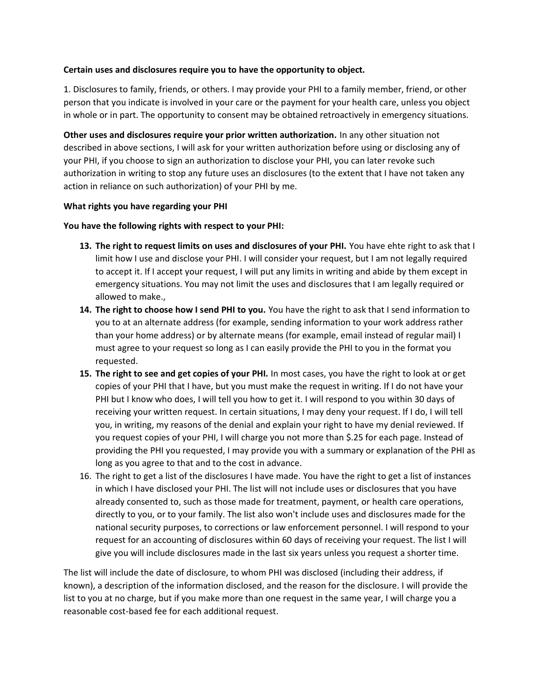### **Certain uses and disclosures require you to have the opportunity to object.**

1. Disclosures to family, friends, or others. I may provide your PHI to a family member, friend, or other person that you indicate is involved in your care or the payment for your health care, unless you object in whole or in part. The opportunity to consent may be obtained retroactively in emergency situations.

**Other uses and disclosures require your prior written authorization.** In any other situation not described in above sections, I will ask for your written authorization before using or disclosing any of your PHI, if you choose to sign an authorization to disclose your PHI, you can later revoke such authorization in writing to stop any future uses an disclosures (to the extent that I have not taken any action in reliance on such authorization) of your PHI by me.

### **What rights you have regarding your PHI**

#### **You have the following rights with respect to your PHI:**

- **13. The right to request limits on uses and disclosures of your PHI.** You have ehte right to ask that I limit how I use and disclose your PHI. I will consider your request, but I am not legally required to accept it. If I accept your request, I will put any limits in writing and abide by them except in emergency situations. You may not limit the uses and disclosures that I am legally required or allowed to make.,
- **14. The right to choose how I send PHI to you.** You have the right to ask that I send information to you to at an alternate address (for example, sending information to your work address rather than your home address) or by alternate means (for example, email instead of regular mail) I must agree to your request so long as I can easily provide the PHI to you in the format you requested.
- **15. The right to see and get copies of your PHI.** In most cases, you have the right to look at or get copies of your PHI that I have, but you must make the request in writing. If I do not have your PHI but I know who does, I will tell you how to get it. I will respond to you within 30 days of receiving your written request. In certain situations, I may deny your request. If I do, I will tell you, in writing, my reasons of the denial and explain your right to have my denial reviewed. If you request copies of your PHI, I will charge you not more than \$.25 for each page. Instead of providing the PHI you requested, I may provide you with a summary or explanation of the PHI as long as you agree to that and to the cost in advance.
- 16. The right to get a list of the disclosures I have made. You have the right to get a list of instances in which I have disclosed your PHI. The list will not include uses or disclosures that you have already consented to, such as those made for treatment, payment, or health care operations, directly to you, or to your family. The list also won't include uses and disclosures made for the national security purposes, to corrections or law enforcement personnel. I will respond to your request for an accounting of disclosures within 60 days of receiving your request. The list I will give you will include disclosures made in the last six years unless you request a shorter time.

The list will include the date of disclosure, to whom PHI was disclosed (including their address, if known), a description of the information disclosed, and the reason for the disclosure. I will provide the list to you at no charge, but if you make more than one request in the same year, I will charge you a reasonable cost-based fee for each additional request.